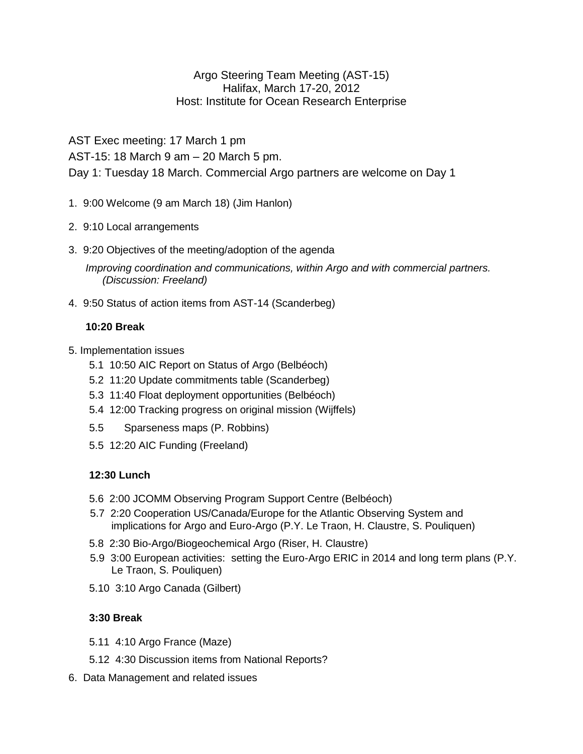### Argo Steering Team Meeting (AST-15) Halifax, March 17-20, 2012 Host: Institute for Ocean Research Enterprise

AST Exec meeting: 17 March 1 pm

AST-15: 18 March 9 am – 20 March 5 pm.

Day 1: Tuesday 18 March. Commercial Argo partners are welcome on Day 1

- 1. 9:00 Welcome (9 am March 18) (Jim Hanlon)
- 2. 9:10 Local arrangements
- 3. 9:20 Objectives of the meeting/adoption of the agenda

*Improving coordination and communications, within Argo and with commercial partners. (Discussion: Freeland)*

4. 9:50 Status of action items from AST-14 (Scanderbeg)

# **10:20 Break**

- 5. Implementation issues
	- 5.1 10:50 AIC Report on Status of Argo (Belbéoch)
	- 5.2 11:20 Update commitments table (Scanderbeg)
	- 5.3 11:40 Float deployment opportunities (Belbéoch)
	- 5.4 12:00 Tracking progress on original mission (Wijffels)
	- 5.5 Sparseness maps (P. Robbins)
	- 5.5 12:20 AIC Funding (Freeland)

# **12:30 Lunch**

- 5.6 2:00 JCOMM Observing Program Support Centre (Belbéoch)
- 5.7 2:20 Cooperation US/Canada/Europe for the Atlantic Observing System and implications for Argo and Euro-Argo (P.Y. Le Traon, H. Claustre, S. Pouliquen)
- 5.8 2:30 Bio-Argo/Biogeochemical Argo (Riser, H. Claustre)
- 5.9 3:00 European activities: setting the Euro-Argo ERIC in 2014 and long term plans (P.Y. Le Traon, S. Pouliquen)
- 5.10 3:10 Argo Canada (Gilbert)

# **3:30 Break**

- 5.11 4:10 Argo France (Maze)
- 5.12 4:30 Discussion items from National Reports?
- 6. Data Management and related issues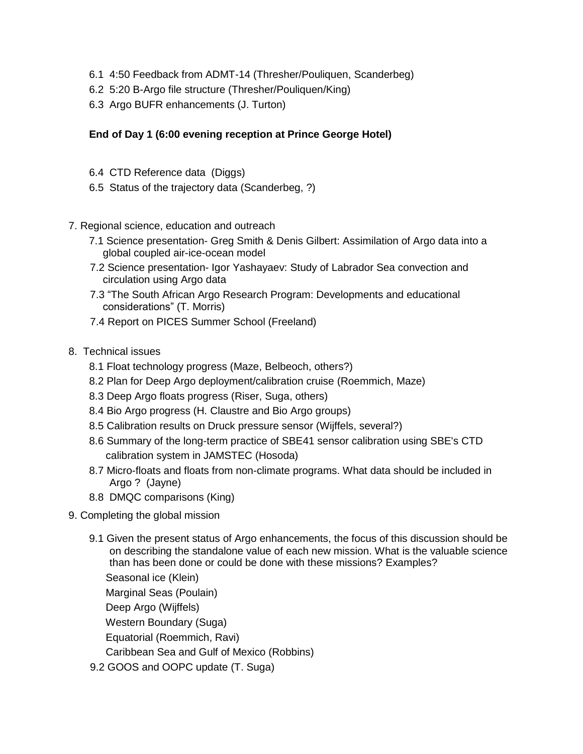- 6.1 4:50 Feedback from ADMT-14 (Thresher/Pouliquen, Scanderbeg)
- 6.2 5:20 B-Argo file structure (Thresher/Pouliquen/King)
- 6.3 Argo BUFR enhancements (J. Turton)

### **End of Day 1 (6:00 evening reception at Prince George Hotel)**

- 6.4 CTD Reference data (Diggs)
- 6.5 Status of the trajectory data (Scanderbeg, ?)
- 7. Regional science, education and outreach
	- 7.1 Science presentation- Greg Smith & Denis Gilbert: Assimilation of Argo data into a global coupled air-ice-ocean model
	- 7.2 Science presentation- Igor Yashayaev: Study of Labrador Sea convection and circulation using Argo data
	- 7.3 "The South African Argo Research Program: Developments and educational considerations" (T. Morris)
	- 7.4 Report on PICES Summer School (Freeland)
- 8. Technical issues
	- 8.1 Float technology progress (Maze, Belbeoch, others?)
	- 8.2 Plan for Deep Argo deployment/calibration cruise (Roemmich, Maze)
	- 8.3 Deep Argo floats progress (Riser, Suga, others)
	- 8.4 Bio Argo progress (H. Claustre and Bio Argo groups)
	- 8.5 Calibration results on Druck pressure sensor (Wijffels, several?)
	- 8.6 Summary of the long-term practice of SBE41 sensor calibration using SBE's CTD calibration system in JAMSTEC (Hosoda)
	- 8.7 Micro-floats and floats from non-climate programs. What data should be included in Argo ? (Jayne)
	- 8.8 DMQC comparisons (King)
- 9. Completing the global mission
	- 9.1 Given the present status of Argo enhancements, the focus of this discussion should be on describing the standalone value of each new mission. What is the valuable science than has been done or could be done with these missions? Examples? Seasonal ice (Klein) Marginal Seas (Poulain) Deep Argo (Wijffels) Western Boundary (Suga) Equatorial (Roemmich, Ravi) Caribbean Sea and Gulf of Mexico (Robbins) 9.2 GOOS and OOPC update (T. Suga)